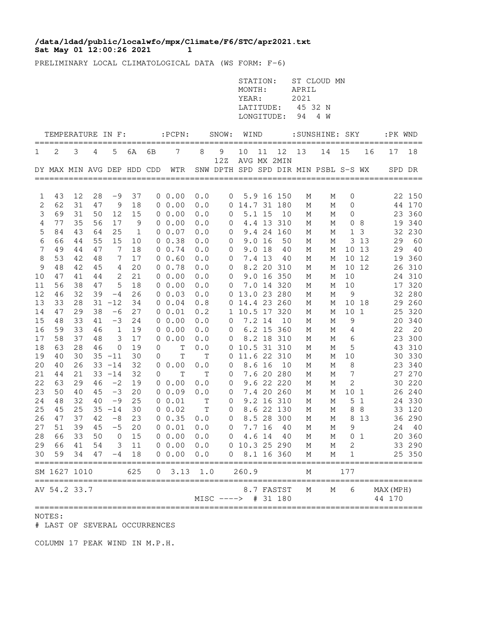## Sat May 01 12:00:26 2021 1 **/data/ldad/public/localwfo/mpx/Climate/F6/STC/apr2021.txt**

PRELIMINARY LOCAL CLIMATOLOGICAL DATA (WS FORM: F-6)

|                |                                      |          |          |                   |                      |    |                                |            |                           | STATION:<br>MONTH:<br>YEAR:<br>LONGITUDE: |          | LATITUDE: 45 32 N        | APRIL<br>2021<br>94 | ST CLOUD MN<br>4 W                   |                 |                |                     |                  |
|----------------|--------------------------------------|----------|----------|-------------------|----------------------|----|--------------------------------|------------|---------------------------|-------------------------------------------|----------|--------------------------|---------------------|--------------------------------------|-----------------|----------------|---------------------|------------------|
|                | TEMPERATURE IN F:<br>=============== |          |          |                   |                      |    | $:$ $PCPN:$                    |            | SNOW:                     | WIND                                      |          |                          |                     | :SUNSHINE: SKY                       |                 |                | :PK WND             |                  |
| 1              | 2                                    | 3        | 4        | 5                 | 6A                   | 6B | 7                              | 8          | 9<br>12Z                  | 10                                        | 11       | 12<br>AVG MX 2MIN        | 13                  | 14                                   | 15              | 16             | 17                  | 18               |
|                |                                      |          |          |                   |                      |    | DY MAX MIN AVG DEP HDD CDD WTR |            |                           |                                           |          |                          |                     | SNW DPTH SPD SPD DIR MIN PSBL S-S WX |                 |                | SPD DR              |                  |
| 1              | 43                                   | 12       | 28       | -9                | 37                   |    | $0\;\;0.00$                    | 0.0        | $\circ$                   |                                           |          | 5.9 16 150               | М                   | М                                    | 0               |                |                     | 22 150           |
| $\sqrt{2}$     | 62                                   | 31       | 47       | 9                 | 18                   |    | 00.00                          | 0.0        |                           | 0 14.7 31 180                             |          |                          | М                   | М                                    | $\mathbf 0$     |                |                     | 44 170           |
| 3              | 69                                   | 31       | 50       | 12                | 15                   |    | 00.00                          | 0.0        | $\circ$                   |                                           | $5.1$ 15 | 10                       | М                   | М                                    | 0               |                |                     | 23 360           |
| $\overline{4}$ | 77                                   | 35       | 56       | 17                | 9                    |    | $0\ 0.00$                      | 0.0        | 0                         |                                           |          | 4.4 13 310               | М                   | М                                    |                 | 08             |                     | 19 340           |
| 5<br>6         | 84<br>66                             | 43<br>44 | 64<br>55 | 25<br>15          | $\overline{1}$<br>10 |    | $0\;\;0.07$<br>0 0.38          | 0.0<br>0.0 | 0<br>0                    |                                           | 9.0 16   | 9.4 24 160<br>50         | М<br>М              | М<br>М                               | $\mathbf{1}$    | 3<br>3 1 3     | 29                  | 32 230<br>60     |
| $\overline{7}$ | 49                                   | 44       | 47       | 7                 | 18                   |    | $0 \t 0.74$                    | 0.0        | 0                         |                                           | 9.0 18   | 40                       | М                   | М                                    |                 | 10 13          |                     | 29 40            |
| 8              | 53                                   | 42       | 48       | 7                 | 17                   |    | 0 0.60                         | 0.0        | $\mathbf 0$               |                                           | 7.4 13   | - 40                     | М                   | М                                    |                 | 10 12          |                     | 19 360           |
| 9              | 48                                   | 42       | 45       | 4                 | 20                   |    | 0 0.78                         | 0.0        | 0                         |                                           |          | 8.2 20 310               | М                   | М                                    |                 | 10 12          |                     | 26 310           |
| 10             | 47                                   | 41       | 44       | 2                 | 21                   |    | $0\ 0.00$                      | 0.0        | 0                         |                                           |          | 9.0 16 350               | М                   | М                                    | 10              |                |                     | 24 310           |
| 11             | 56                                   | 38       | 47       | 5                 | 18                   |    | $0\;\;0.00$                    | 0.0        | 0                         |                                           |          | 7.0 14 320               | М                   | М                                    | 10              |                |                     | 17 320           |
| 12             | 46                                   | 32       | 39       | $-4$              | 26                   |    | 0 0.03                         | 0.0        |                           | 0 13.0 23 280                             |          |                          | М                   | М                                    | 9               |                |                     | 32 280           |
| 13             | 33                                   | 28       |          | $31 - 12$         | 34                   |    | 0 0.04                         | 0.8        |                           | 0 14.4 23 260                             |          |                          | М                   | М                                    |                 | 10 18          |                     | 29 260           |
| 14             | 47                                   | 29       | 38       | $-6$              | 27                   |    | 0 0.01                         | 0.2        |                           | 1 10.5 17 320                             |          |                          | М                   | М                                    | 10 <sub>1</sub> |                |                     | 25 320           |
| 15<br>16       | 48<br>59                             | 33<br>33 | 41<br>46 | $-3$<br>1         | 24<br>19             |    | 00.00<br>$0\ 0.00$             | 0.0<br>0.0 | $\mathbf 0$<br>0          | 7.2 14                                    |          | 10<br>6.2 15 360         | М<br>М              | М<br>М                               | 9<br>4          |                | 22                  | 20 340<br>20     |
| 17             | 58                                   | 37       | 48       | 3                 | 17                   |    | $0\;\;0.00$                    | 0.0        | 0                         |                                           |          | 8.2 18 310               | М                   | М                                    | 6               |                |                     | 23 300           |
| 18             | 63                                   | 28       | 46       | 0                 | 19                   | 0  | $\mathbf T$                    | 0.0        |                           | 0 10.5 31 310                             |          |                          | М                   | М                                    | 5               |                |                     | 43 310           |
| 19             | 40                                   | 30       |          | $35 - 11$         | 30                   | 0  | Т                              | Т          | $\circ$                   | 11.6 22 310                               |          |                          | М                   | М                                    | 10              |                |                     | 30 330           |
| 20             | 40                                   | 26       |          | $33 - 14$         | 32                   |    | 0 0.00                         | 0.0        | 0                         |                                           | 8.6 16   | 10                       | М                   | М                                    | 8               |                |                     | 23 340           |
| 21             | 44                                   | 21       |          | $33 - 14$         | 32                   | 0  | $\mathbb T$                    | T          | 0                         |                                           |          | 7.6 20 280               | М                   | М                                    | 7               |                |                     | 27 270           |
| 22             | 63                                   | 29       | 46       | $-2$              | 19                   |    | $0\;\;0.00$                    | 0.0        | 0                         |                                           |          | 9.6 22 220               | М                   | М                                    | 2               |                |                     | 30 220           |
| 23             | 50                                   | 40       | 45       | $-3$              | 20                   |    | 00.09                          | 0.0        | $\overline{0}$            |                                           |          | 7.4 20 260               | М                   | М                                    | 10 <sub>1</sub> |                |                     | 26 240           |
| 24             | 48                                   | 32       | 40       | -9                | 25                   |    | 0 0.01                         | Τ          | $\mathbf 0$               |                                           |          | 9.2 16 310               | М                   | М                                    |                 | 5 <sub>1</sub> |                     | 24 330           |
| 25<br>26       | 45<br>47                             | 25<br>37 | 42       | $35 - 14$<br>$-8$ | 30<br>23             |    | 0 0.02<br>0 0.35               | Τ<br>0.0   | $\circ$<br>$\overline{0}$ |                                           |          | 8.6 22 130<br>8.5 28 300 | М<br>М              | М<br>М                               |                 | 8 8<br>8 1 3   |                     | 33 120<br>36 290 |
| 27             | 51                                   | 39       | 45       | $-5$              | 20                   |    | 0 0.01                         | 0.0        | $\overline{0}$            |                                           | 7.7 16   | 40                       | М                   | М                                    | 9               |                |                     | 24 40            |
| 28             | 66 33                                |          |          |                   |                      |    | 50 0 15 0 0.00 0.0 0           |            |                           |                                           |          | 4.6 14 40                | M                   | M                                    |                 | $0\quad 1$     |                     | 20 360           |
|                | 29 66 41 54 3 11                     |          |          |                   |                      |    | $0\,0.00\,0.0$                 |            | 0 10.3 25 290             |                                           |          |                          |                     | $M$ $M$                              | 2               |                |                     | 33 290           |
|                | $30$ 59 34 47 -4 18                  |          |          |                   |                      |    | 0 0.00 0.0 0 8.1 16 360        |            |                           |                                           |          |                          | M                   | М                                    | $\overline{1}$  |                |                     | 25 350           |
|                | SM 1627 1010                         |          |          |                   | 625                  |    | $0$ 3.13 1.0                   |            |                           | 260.9                                     |          |                          | М                   |                                      | 177             |                |                     |                  |
|                | AV 54.2 33.7                         |          |          |                   |                      |    |                                |            | MISC ----> # 31 180       |                                           |          | 8.7 FASTST               | М                   | М                                    | 6               |                | MAX (MPH)<br>44 170 |                  |

## NOTES:

# LAST OF SEVERAL OCCURRENCES

COLUMN 17 PEAK WIND IN M.P.H.